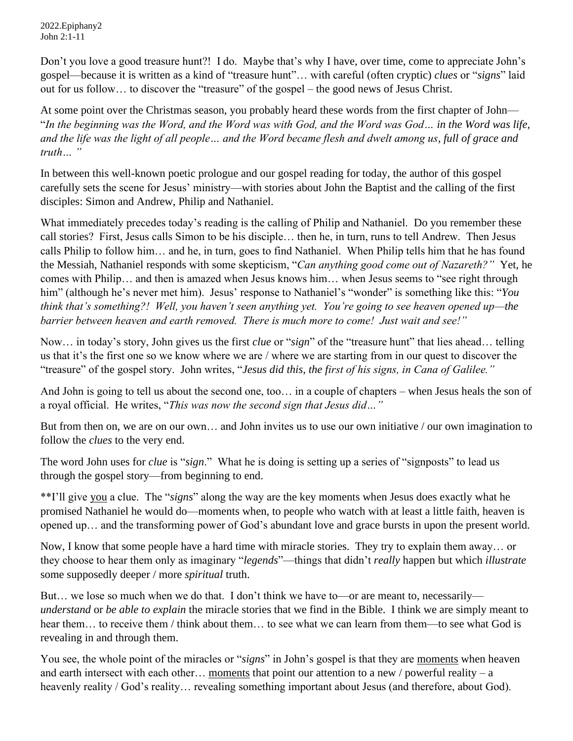2022.Epiphany2 John 2:1-11

Don't you love a good treasure hunt?! I do. Maybe that's why I have, over time, come to appreciate John's gospel—because it is written as a kind of "treasure hunt"… with careful (often cryptic) *clues* or "*signs*" laid out for us follow… to discover the "treasure" of the gospel – the good news of Jesus Christ.

At some point over the Christmas season, you probably heard these words from the first chapter of John— "*In the beginning was the Word, and the Word was with God, and the Word was God… in the Word was life, and the life was the light of all people… and the Word became flesh and dwelt among us, full of grace and truth… "* 

In between this well-known poetic prologue and our gospel reading for today, the author of this gospel carefully sets the scene for Jesus' ministry—with stories about John the Baptist and the calling of the first disciples: Simon and Andrew, Philip and Nathaniel.

What immediately precedes today's reading is the calling of Philip and Nathaniel. Do you remember these call stories? First, Jesus calls Simon to be his disciple… then he, in turn, runs to tell Andrew. Then Jesus calls Philip to follow him… and he, in turn, goes to find Nathaniel. When Philip tells him that he has found the Messiah, Nathaniel responds with some skepticism, "*Can anything good come out of Nazareth?"* Yet, he comes with Philip… and then is amazed when Jesus knows him… when Jesus seems to "see right through him" (although he's never met him). Jesus' response to Nathaniel's "wonder" is something like this: "*You think that's something?! Well, you haven't seen anything yet. You're going to see heaven opened up—the barrier between heaven and earth removed. There is much more to come! Just wait and see!"* 

Now… in today's story, John gives us the first *clue* or "*sign*" of the "treasure hunt" that lies ahead… telling us that it's the first one so we know where we are / where we are starting from in our quest to discover the "treasure" of the gospel story. John writes, "*Jesus did this, the first of his signs, in Cana of Galilee."* 

And John is going to tell us about the second one, too… in a couple of chapters – when Jesus heals the son of a royal official. He writes, "*This was now the second sign that Jesus did…"*

But from then on, we are on our own… and John invites us to use our own initiative / our own imagination to follow the *clues* to the very end.

The word John uses for *clue* is "*sign*." What he is doing is setting up a series of "signposts" to lead us through the gospel story—from beginning to end.

\*\*I'll give you a clue. The "*signs*" along the way are the key moments when Jesus does exactly what he promised Nathaniel he would do—moments when, to people who watch with at least a little faith, heaven is opened up… and the transforming power of God's abundant love and grace bursts in upon the present world.

Now, I know that some people have a hard time with miracle stories. They try to explain them away… or they choose to hear them only as imaginary "*legends*"—things that didn't *really* happen but which *illustrate* some supposedly deeper / more *spiritual* truth.

But… we lose so much when we do that. I don't think we have to—or are meant to, necessarily *understand* or *be able to explain* the miracle stories that we find in the Bible. I think we are simply meant to hear them... to receive them / think about them... to see what we can learn from them—to see what God is revealing in and through them.

You see, the whole point of the miracles or "*signs*" in John's gospel is that they are moments when heaven and earth intersect with each other… moments that point our attention to a new / powerful reality – a heavenly reality / God's reality... revealing something important about Jesus (and therefore, about God).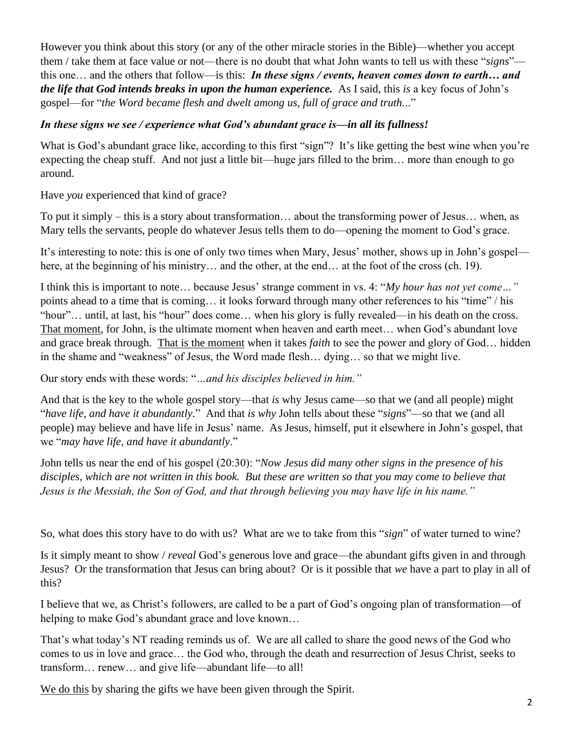However you think about this story (or any of the other miracle stories in the Bible)—whether you accept them / take them at face value or not—there is no doubt that what John wants to tell us with these "*signs*" this one… and the others that follow—is this: *In these signs / events, heaven comes down to earth… and the life that God intends breaks in upon the human experience.* As I said, this *is* a key focus of John's gospel—for "*the Word became flesh and dwelt among us, full of grace and truth.*.."

## *In these signs we see / experience what God's abundant grace is—in all its fullness!*

What is God's abundant grace like, according to this first "sign"? It's like getting the best wine when you're expecting the cheap stuff. And not just a little bit—huge jars filled to the brim… more than enough to go around.

Have *you* experienced that kind of grace?

To put it simply – this is a story about transformation… about the transforming power of Jesus… when, as Mary tells the servants, people do whatever Jesus tells them to do—opening the moment to God's grace.

It's interesting to note: this is one of only two times when Mary, Jesus' mother, shows up in John's gospel here, at the beginning of his ministry... and the other, at the end... at the foot of the cross (ch. 19).

I think this is important to note… because Jesus' strange comment in vs. 4: "*My hour has not yet come…"*  points ahead to a time that is coming… it looks forward through many other references to his "time" / his "hour"… until, at last, his "hour" does come… when his glory is fully revealed—in his death on the cross. That moment, for John, is the ultimate moment when heaven and earth meet… when God's abundant love and grace break through. That is the moment when it takes *faith* to see the power and glory of God… hidden in the shame and "weakness" of Jesus, the Word made flesh… dying… so that we might live.

Our story ends with these words: "*…and his disciples believed in him."* 

And that is the key to the whole gospel story—that *is* why Jesus came—so that we (and all people) might "*have life, and have it abundantly.*" And that *is why* John tells about these "*signs*"—so that we (and all people) may believe and have life in Jesus' name. As Jesus, himself, put it elsewhere in John's gospel, that we "*may have life, and have it abundantly*."

John tells us near the end of his gospel (20:30): "*Now Jesus did many other signs in the presence of his disciples, which are not written in this book. But these are written so that you may come to believe that Jesus is the Messiah, the Son of God, and that through believing you may have life in his name."* 

So, what does this story have to do with us? What are we to take from this "*sign*" of water turned to wine?

Is it simply meant to show / *reveal* God's generous love and grace—the abundant gifts given in and through Jesus? Or the transformation that Jesus can bring about? Or is it possible that *we* have a part to play in all of this?

I believe that we, as Christ's followers, are called to be a part of God's ongoing plan of transformation—of helping to make God's abundant grace and love known…

That's what today's NT reading reminds us of. We are all called to share the good news of the God who comes to us in love and grace… the God who, through the death and resurrection of Jesus Christ, seeks to transform… renew… and give life—abundant life—to all!

We do this by sharing the gifts we have been given through the Spirit.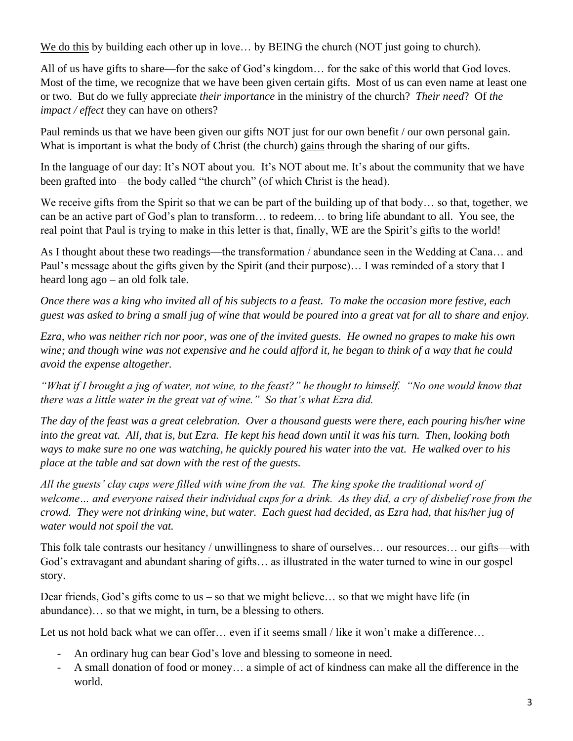We do this by building each other up in love... by BEING the church (NOT just going to church).

All of us have gifts to share—for the sake of God's kingdom… for the sake of this world that God loves. Most of the time, we recognize that we have been given certain gifts. Most of us can even name at least one or two. But do we fully appreciate *their importance* in the ministry of the church? *Their need*? Of *the impact / effect* they can have on others?

Paul reminds us that we have been given our gifts NOT just for our own benefit / our own personal gain. What is important is what the body of Christ (the church) gains through the sharing of our gifts.

In the language of our day: It's NOT about you. It's NOT about me. It's about the community that we have been grafted into—the body called "the church" (of which Christ is the head).

We receive gifts from the Spirit so that we can be part of the building up of that body... so that, together, we can be an active part of God's plan to transform… to redeem… to bring life abundant to all. You see, the real point that Paul is trying to make in this letter is that, finally, WE are the Spirit's gifts to the world!

As I thought about these two readings—the transformation / abundance seen in the Wedding at Cana… and Paul's message about the gifts given by the Spirit (and their purpose)… I was reminded of a story that I heard long ago – an old folk tale.

*Once there was a king who invited all of his subjects to a feast. To make the occasion more festive, each guest was asked to bring a small jug of wine that would be poured into a great vat for all to share and enjoy.* 

*Ezra, who was neither rich nor poor, was one of the invited guests. He owned no grapes to make his own wine; and though wine was not expensive and he could afford it, he began to think of a way that he could avoid the expense altogether.* 

*"What if I brought a jug of water, not wine, to the feast?" he thought to himself. "No one would know that there was a little water in the great vat of wine." So that's what Ezra did.* 

*The day of the feast was a great celebration. Over a thousand guests were there, each pouring his/her wine into the great vat. All, that is, but Ezra. He kept his head down until it was his turn. Then, looking both ways to make sure no one was watching, he quickly poured his water into the vat. He walked over to his place at the table and sat down with the rest of the guests.* 

*All the guests' clay cups were filled with wine from the vat. The king spoke the traditional word of*  welcome... and everyone raised their individual cups for a drink. As they did, a cry of disbelief rose from the *crowd. They were not drinking wine, but water. Each guest had decided, as Ezra had, that his/her jug of water would not spoil the vat.* 

This folk tale contrasts our hesitancy / unwillingness to share of ourselves… our resources… our gifts—with God's extravagant and abundant sharing of gifts… as illustrated in the water turned to wine in our gospel story.

Dear friends, God's gifts come to us – so that we might believe... so that we might have life (in abundance)… so that we might, in turn, be a blessing to others.

Let us not hold back what we can offer... even if it seems small / like it won't make a difference...

- An ordinary hug can bear God's love and blessing to someone in need.
- A small donation of food or money… a simple of act of kindness can make all the difference in the world.